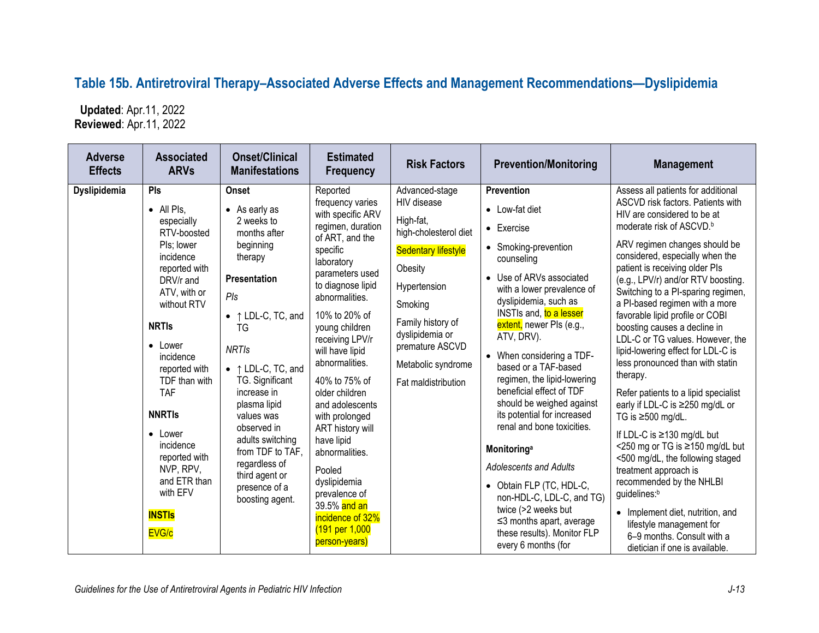## **Table 15b. Antiretroviral Therapy–Associated Adverse Effects and Management Recommendations—Dyslipidemia**

 **Updated**: Apr.11, 2022 **Reviewed**: Apr.11, 2022

| <b>Adverse</b><br><b>Effects</b> | <b>Associated</b><br><b>ARVs</b>                                                                                                                                                                                                                                                                                                                                           | <b>Onset/Clinical</b><br><b>Manifestations</b>                                                                                                                                                                                                                                                                                                                                               | <b>Estimated</b><br><b>Frequency</b>                                                                                                                                                                                                                                                                                                                                                                                                                                                                                   | <b>Risk Factors</b>                                                                                                                                                                                                                             | <b>Prevention/Monitoring</b>                                                                                                                                                                                                                                                                                                                                                                                                                                                                                                                                                                                                                                                                        | <b>Management</b>                                                                                                                                                                                                                                                                                                                                                                                                                                                                                                                                                                                                                                                                                                                                                                                                                                                                                                                                                                     |
|----------------------------------|----------------------------------------------------------------------------------------------------------------------------------------------------------------------------------------------------------------------------------------------------------------------------------------------------------------------------------------------------------------------------|----------------------------------------------------------------------------------------------------------------------------------------------------------------------------------------------------------------------------------------------------------------------------------------------------------------------------------------------------------------------------------------------|------------------------------------------------------------------------------------------------------------------------------------------------------------------------------------------------------------------------------------------------------------------------------------------------------------------------------------------------------------------------------------------------------------------------------------------------------------------------------------------------------------------------|-------------------------------------------------------------------------------------------------------------------------------------------------------------------------------------------------------------------------------------------------|-----------------------------------------------------------------------------------------------------------------------------------------------------------------------------------------------------------------------------------------------------------------------------------------------------------------------------------------------------------------------------------------------------------------------------------------------------------------------------------------------------------------------------------------------------------------------------------------------------------------------------------------------------------------------------------------------------|---------------------------------------------------------------------------------------------------------------------------------------------------------------------------------------------------------------------------------------------------------------------------------------------------------------------------------------------------------------------------------------------------------------------------------------------------------------------------------------------------------------------------------------------------------------------------------------------------------------------------------------------------------------------------------------------------------------------------------------------------------------------------------------------------------------------------------------------------------------------------------------------------------------------------------------------------------------------------------------|
| Dyslipidemia                     | <b>PIs</b><br>• All Pls.<br>especially<br>RTV-boosted<br>Pls; lower<br>incidence<br>reported with<br>DRV/r and<br>ATV, with or<br>without RTV<br><b>NRTIS</b><br>$\bullet$ Lower<br>incidence<br>reported with<br>TDF than with<br><b>TAF</b><br><b>NNRTIS</b><br>• Lower<br>incidence<br>reported with<br>NVP, RPV,<br>and ETR than<br>with EFV<br><b>INSTIS</b><br>EVG/c | <b>Onset</b><br>$\bullet$ As early as<br>2 weeks to<br>months after<br>beginning<br>therapy<br><b>Presentation</b><br>$P$ Is<br>• ↑ LDL-C, TC, and<br>TG<br><b>NRTIs</b><br>• ↑ LDL-C, TC, and<br>TG. Significant<br>increase in<br>plasma lipid<br>values was<br>observed in<br>adults switching<br>from TDF to TAF.<br>regardless of<br>third agent or<br>presence of a<br>boosting agent. | Reported<br>frequency varies<br>with specific ARV<br>regimen, duration<br>of ART, and the<br>specific<br>laboratory<br>parameters used<br>to diagnose lipid<br>abnormalities.<br>10% to 20% of<br>young children<br>receiving LPV/r<br>will have lipid<br>abnormalities.<br>40% to 75% of<br>older children<br>and adolescents<br>with prolonged<br>ART history will<br>have lipid<br>abnormalities.<br>Pooled<br>dyslipidemia<br>prevalence of<br>39.5% and an<br>incidence of 32%<br>(191 per 1,000<br>person-years) | Advanced-stage<br>HIV disease<br>High-fat,<br>high-cholesterol diet<br><b>Sedentary lifestyle</b><br>Obesity<br>Hypertension<br>Smoking<br>Family history of<br>dyslipidemia or<br>premature ASCVD<br>Metabolic syndrome<br>Fat maldistribution | <b>Prevention</b><br>• Low-fat diet<br>$\bullet$ Exercise<br>• Smoking-prevention<br>counseling<br>• Use of ARVs associated<br>with a lower prevalence of<br>dyslipidemia, such as<br>INSTIs and, to a lesser<br>extent, newer PIs (e.g.,<br>ATV, DRV).<br>When considering a TDF-<br>based or a TAF-based<br>regimen, the lipid-lowering<br>beneficial effect of TDF<br>should be weighed against<br>its potential for increased<br>renal and bone toxicities.<br>Monitoring <sup>a</sup><br><b>Adolescents and Adults</b><br>• Obtain FLP (TC, HDL-C,<br>non-HDL-C, LDL-C, and TG)<br>twice (>2 weeks but<br>$\leq$ 3 months apart, average<br>these results). Monitor FLP<br>every 6 months (for | Assess all patients for additional<br>ASCVD risk factors. Patients with<br>HIV are considered to be at<br>moderate risk of ASCVD. <sup>b</sup><br>ARV regimen changes should be<br>considered, especially when the<br>patient is receiving older Pls<br>(e.g., LPV/r) and/or RTV boosting.<br>Switching to a PI-sparing regimen,<br>a PI-based regimen with a more<br>favorable lipid profile or COBI<br>boosting causes a decline in<br>LDL-C or TG values. However, the<br>lipid-lowering effect for LDL-C is<br>less pronounced than with statin<br>therapy.<br>Refer patients to a lipid specialist<br>early if LDL-C is ≥250 mg/dL or<br>TG is $\geq$ 500 mg/dL.<br>If LDL-C is $\geq$ 130 mg/dL but<br><250 mg or TG is ≥150 mg/dL but<br><500 mg/dL, the following staged<br>treatment approach is<br>recommended by the NHLBI<br>guidelines:b<br>• Implement diet, nutrition, and<br>lifestyle management for<br>6-9 months. Consult with a<br>dietician if one is available. |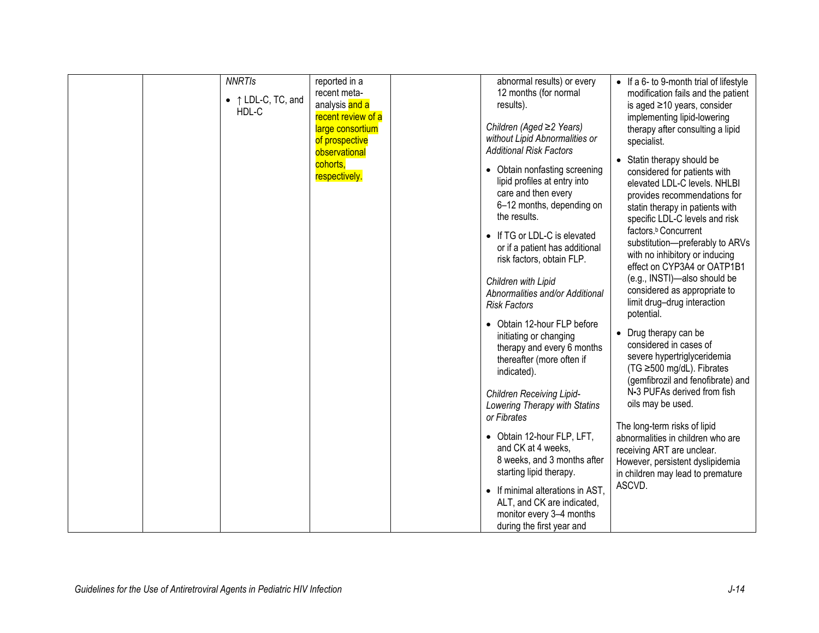| <b>NNRTIS</b><br>$\bullet$ $\uparrow$ LDL-C, TC, and<br>HDL-C | reported in a<br>recent meta-<br>analysis and a<br>recent review of a<br>large consortium<br>of prospective<br>observational<br>cohorts,<br>respectively. | abnormal results) or every<br>12 months (for normal<br>results).<br>Children (Aged ≥2 Years)<br>without Lipid Abnormalities or<br><b>Additional Risk Factors</b><br>• Obtain nonfasting screening<br>lipid profiles at entry into<br>care and then every<br>6-12 months, depending on<br>the results.<br>• If TG or LDL-C is elevated<br>or if a patient has additional<br>risk factors, obtain FLP.<br>Children with Lipid<br>Abnormalities and/or Additional<br><b>Risk Factors</b><br>• Obtain 12-hour FLP before<br>initiating or changing<br>therapy and every 6 months<br>thereafter (more often if<br>indicated).<br><b>Children Receiving Lipid-</b><br>Lowering Therapy with Statins<br>or Fibrates<br>• Obtain 12-hour FLP, LFT,<br>and CK at 4 weeks,<br>8 weeks, and 3 months after<br>starting lipid therapy.<br>• If minimal alterations in AST,<br>ALT, and CK are indicated,<br>monitor every 3-4 months<br>during the first year and | • If a 6- to 9-month trial of lifestyle<br>modification fails and the patient<br>is aged $\geq$ 10 years, consider<br>implementing lipid-lowering<br>therapy after consulting a lipid<br>specialist.<br>Statin therapy should be<br>considered for patients with<br>elevated LDL-C levels. NHLBI<br>provides recommendations for<br>statin therapy in patients with<br>specific LDL-C levels and risk<br>factors. <sup>b</sup> Concurrent<br>substitution-preferably to ARVs<br>with no inhibitory or inducing<br>effect on CYP3A4 or OATP1B1<br>(e.g., INSTI)-also should be<br>considered as appropriate to<br>limit drug-drug interaction<br>potential.<br>• Drug therapy can be<br>considered in cases of<br>severe hypertriglyceridemia<br>(TG ≥500 mg/dL). Fibrates<br>(gemfibrozil and fenofibrate) and<br>N-3 PUFAs derived from fish<br>oils may be used.<br>The long-term risks of lipid<br>abnormalities in children who are<br>receiving ART are unclear.<br>However, persistent dyslipidemia<br>in children may lead to premature<br>ASCVD. |
|---------------------------------------------------------------|-----------------------------------------------------------------------------------------------------------------------------------------------------------|-------------------------------------------------------------------------------------------------------------------------------------------------------------------------------------------------------------------------------------------------------------------------------------------------------------------------------------------------------------------------------------------------------------------------------------------------------------------------------------------------------------------------------------------------------------------------------------------------------------------------------------------------------------------------------------------------------------------------------------------------------------------------------------------------------------------------------------------------------------------------------------------------------------------------------------------------------|----------------------------------------------------------------------------------------------------------------------------------------------------------------------------------------------------------------------------------------------------------------------------------------------------------------------------------------------------------------------------------------------------------------------------------------------------------------------------------------------------------------------------------------------------------------------------------------------------------------------------------------------------------------------------------------------------------------------------------------------------------------------------------------------------------------------------------------------------------------------------------------------------------------------------------------------------------------------------------------------------------------------------------------------------------|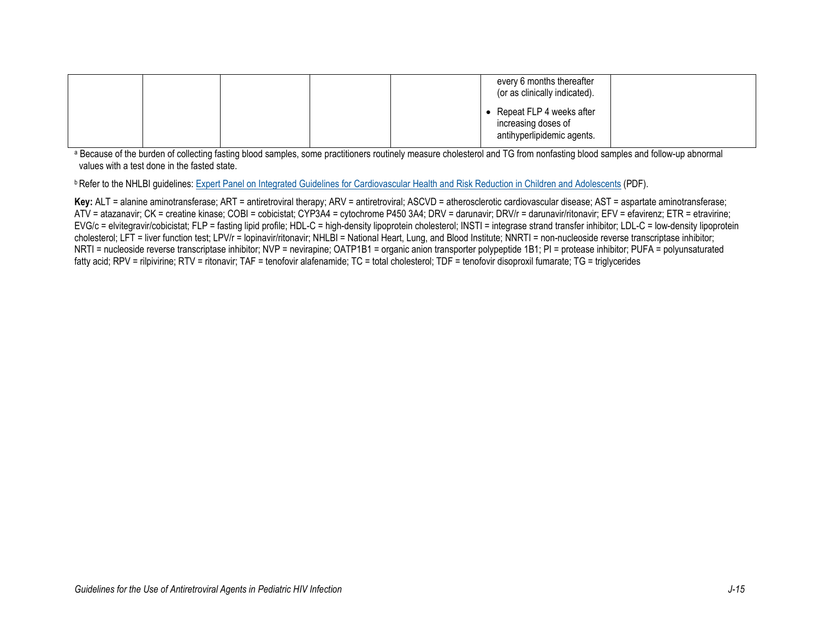|  | every 6 months thereafter<br>(or as clinically indicated).                      |  |
|--|---------------------------------------------------------------------------------|--|
|  | • Repeat FLP 4 weeks after<br>increasing doses of<br>antihyperlipidemic agents. |  |

<sup>a</sup> Because of the burden of collecting fasting blood samples, some practitioners routinely measure cholesterol and TG from nonfasting blood samples and follow-up abnormal values with a test done in the fasted state.

**b Refer to the NHLBI guidelines:** [Expert Panel on Integrated Guidelines for Cardiovascular Health and Risk Reduction in Children and Adolescents](https://www.nhlbi.nih.gov/files/docs/guidelines/peds_guidelines_full.pdf) (PDF).

Key: ALT = alanine aminotransferase; ART = antiretroviral therapy; ARV = antiretroviral; ASCVD = atherosclerotic cardiovascular disease; AST = aspartate aminotransferase; ATV = atazanavir; CK = creatine kinase; COBI = cobicistat; CYP3A4 = cytochrome P450 3A4; DRV = darunavir; DRV/r = darunavir/ritonavir; EFV = efavirenz; ETR = etravirine; EVG/c = elvitegravir/cobicistat; FLP = fasting lipid profile; HDL-C = high-density lipoprotein cholesterol; INSTI = integrase strand transfer inhibitor; LDL-C = low-density lipoprotein cholesterol; LFT = liver function test; LPV/r = lopinavir/ritonavir; NHLBI = National Heart, Lung, and Blood Institute; NNRTI = non-nucleoside reverse transcriptase inhibitor; NRTI = nucleoside reverse transcriptase inhibitor; NVP = nevirapine; OATP1B1 = organic anion transporter polypeptide 1B1; PI = protease inhibitor; PUFA = polyunsaturated fatty acid; RPV = rilpivirine; RTV = ritonavir; TAF = tenofovir alafenamide; TC = total cholesterol; TDF = tenofovir disoproxil fumarate; TG = triglycerides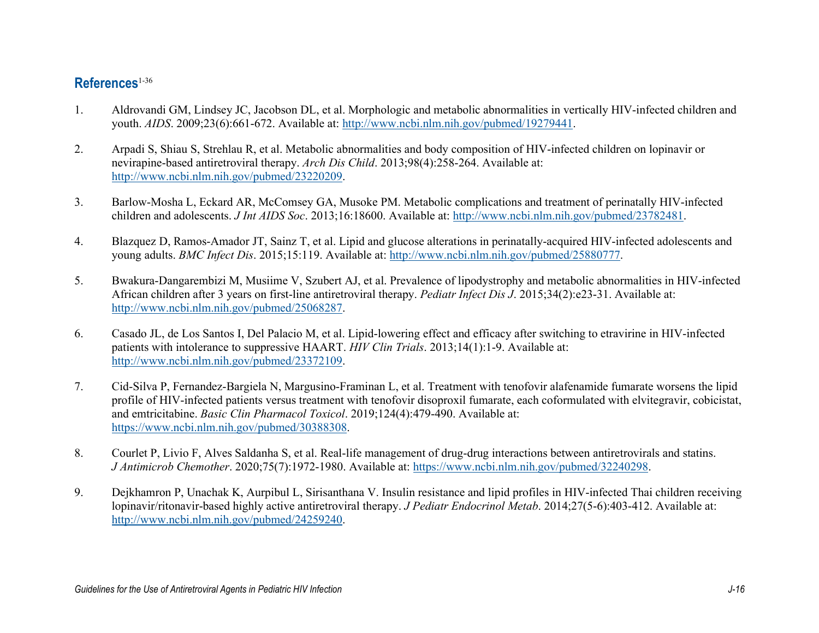## **References**[1-36](#page-3-0)

- <span id="page-3-0"></span>1. Aldrovandi GM, Lindsey JC, Jacobson DL, et al. Morphologic and metabolic abnormalities in vertically HIV-infected children and youth. *AIDS*. 2009;23(6):661-672. Available at: [http://www.ncbi.nlm.nih.gov/pubmed/19279441.](http://www.ncbi.nlm.nih.gov/pubmed/19279441)
- 2. Arpadi S, Shiau S, Strehlau R, et al. Metabolic abnormalities and body composition of HIV-infected children on lopinavir or nevirapine-based antiretroviral therapy. *Arch Dis Child*. 2013;98(4):258-264. Available at: [http://www.ncbi.nlm.nih.gov/pubmed/23220209.](http://www.ncbi.nlm.nih.gov/pubmed/23220209)
- 3. Barlow-Mosha L, Eckard AR, McComsey GA, Musoke PM. Metabolic complications and treatment of perinatally HIV-infected children and adolescents. *J Int AIDS Soc*. 2013;16:18600. Available at: [http://www.ncbi.nlm.nih.gov/pubmed/23782481.](http://www.ncbi.nlm.nih.gov/pubmed/23782481)
- 4. Blazquez D, Ramos-Amador JT, Sainz T, et al. Lipid and glucose alterations in perinatally-acquired HIV-infected adolescents and young adults. *BMC Infect Dis*. 2015;15:119. Available at: [http://www.ncbi.nlm.nih.gov/pubmed/25880777.](http://www.ncbi.nlm.nih.gov/pubmed/25880777)
- 5. Bwakura-Dangarembizi M, Musiime V, Szubert AJ, et al. Prevalence of lipodystrophy and metabolic abnormalities in HIV-infected African children after 3 years on first-line antiretroviral therapy. *Pediatr Infect Dis J*. 2015;34(2):e23-31. Available at: [http://www.ncbi.nlm.nih.gov/pubmed/25068287.](http://www.ncbi.nlm.nih.gov/pubmed/25068287)
- 6. Casado JL, de Los Santos I, Del Palacio M, et al. Lipid-lowering effect and efficacy after switching to etravirine in HIV-infected patients with intolerance to suppressive HAART. *HIV Clin Trials*. 2013;14(1):1-9. Available at: [http://www.ncbi.nlm.nih.gov/pubmed/23372109.](http://www.ncbi.nlm.nih.gov/pubmed/23372109)
- 7. Cid-Silva P, Fernandez-Bargiela N, Margusino-Framinan L, et al. Treatment with tenofovir alafenamide fumarate worsens the lipid profile of HIV-infected patients versus treatment with tenofovir disoproxil fumarate, each coformulated with elvitegravir, cobicistat, and emtricitabine. *Basic Clin Pharmacol Toxicol*. 2019;124(4):479-490. Available at: [https://www.ncbi.nlm.nih.gov/pubmed/30388308.](https://www.ncbi.nlm.nih.gov/pubmed/30388308)
- 8. Courlet P, Livio F, Alves Saldanha S, et al. Real-life management of drug-drug interactions between antiretrovirals and statins. *J Antimicrob Chemother*. 2020;75(7):1972-1980. Available at: [https://www.ncbi.nlm.nih.gov/pubmed/32240298.](https://www.ncbi.nlm.nih.gov/pubmed/32240298)
- 9. Dejkhamron P, Unachak K, Aurpibul L, Sirisanthana V. Insulin resistance and lipid profiles in HIV-infected Thai children receiving lopinavir/ritonavir-based highly active antiretroviral therapy. *J Pediatr Endocrinol Metab*. 2014;27(5-6):403-412. Available at: [http://www.ncbi.nlm.nih.gov/pubmed/24259240.](http://www.ncbi.nlm.nih.gov/pubmed/24259240)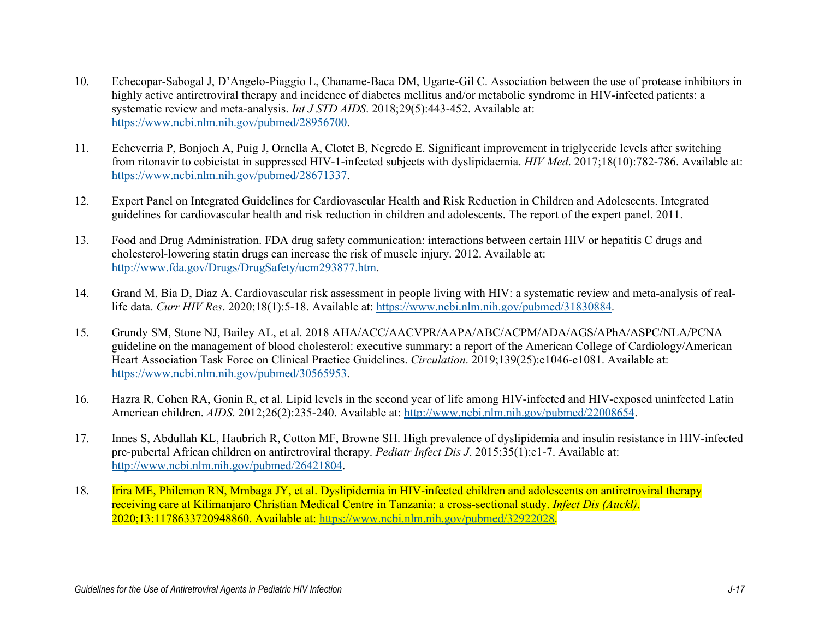- 10. Echecopar-Sabogal J, D'Angelo-Piaggio L, Chaname-Baca DM, Ugarte-Gil C. Association between the use of protease inhibitors in highly active antiretroviral therapy and incidence of diabetes mellitus and/or metabolic syndrome in HIV-infected patients: a systematic review and meta-analysis. *Int J STD AIDS*. 2018;29(5):443-452. Available at: [https://www.ncbi.nlm.nih.gov/pubmed/28956700.](https://www.ncbi.nlm.nih.gov/pubmed/28956700)
- 11. Echeverria P, Bonjoch A, Puig J, Ornella A, Clotet B, Negredo E. Significant improvement in triglyceride levels after switching from ritonavir to cobicistat in suppressed HIV-1-infected subjects with dyslipidaemia. *HIV Med*. 2017;18(10):782-786. Available at: [https://www.ncbi.nlm.nih.gov/pubmed/28671337.](https://www.ncbi.nlm.nih.gov/pubmed/28671337)
- 12. Expert Panel on Integrated Guidelines for Cardiovascular Health and Risk Reduction in Children and Adolescents. Integrated guidelines for cardiovascular health and risk reduction in children and adolescents. The report of the expert panel. 2011.
- 13. Food and Drug Administration. FDA drug safety communication: interactions between certain HIV or hepatitis C drugs and cholesterol-lowering statin drugs can increase the risk of muscle injury. 2012. Available at: [http://www.fda.gov/Drugs/DrugSafety/ucm293877.htm.](http://www.fda.gov/Drugs/DrugSafety/ucm293877.htm)
- 14. Grand M, Bia D, Diaz A. Cardiovascular risk assessment in people living with HIV: a systematic review and meta-analysis of reallife data. *Curr HIV Res*. 2020;18(1):5-18. Available at: [https://www.ncbi.nlm.nih.gov/pubmed/31830884.](https://www.ncbi.nlm.nih.gov/pubmed/31830884)
- 15. Grundy SM, Stone NJ, Bailey AL, et al. 2018 AHA/ACC/AACVPR/AAPA/ABC/ACPM/ADA/AGS/APhA/ASPC/NLA/PCNA guideline on the management of blood cholesterol: executive summary: a report of the American College of Cardiology/American Heart Association Task Force on Clinical Practice Guidelines. *Circulation*. 2019;139(25):e1046-e1081. Available at: [https://www.ncbi.nlm.nih.gov/pubmed/30565953.](https://www.ncbi.nlm.nih.gov/pubmed/30565953)
- 16. Hazra R, Cohen RA, Gonin R, et al. Lipid levels in the second year of life among HIV-infected and HIV-exposed uninfected Latin American children. *AIDS*. 2012;26(2):235-240. Available at: [http://www.ncbi.nlm.nih.gov/pubmed/22008654.](http://www.ncbi.nlm.nih.gov/pubmed/22008654)
- 17. Innes S, Abdullah KL, Haubrich R, Cotton MF, Browne SH. High prevalence of dyslipidemia and insulin resistance in HIV-infected pre-pubertal African children on antiretroviral therapy. *Pediatr Infect Dis J*. 2015;35(1):e1-7. Available at: [http://www.ncbi.nlm.nih.gov/pubmed/26421804.](http://www.ncbi.nlm.nih.gov/pubmed/26421804)
- 18. Irira ME, Philemon RN, Mmbaga JY, et al. Dyslipidemia in HIV-infected children and adolescents on antiretroviral therapy receiving care at Kilimanjaro Christian Medical Centre in Tanzania: a cross-sectional study. *Infect Dis (Auckl)*. 2020;13:1178633720948860. Available at: [https://www.ncbi.nlm.nih.gov/pubmed/32922028.](https://www.ncbi.nlm.nih.gov/pubmed/32922028)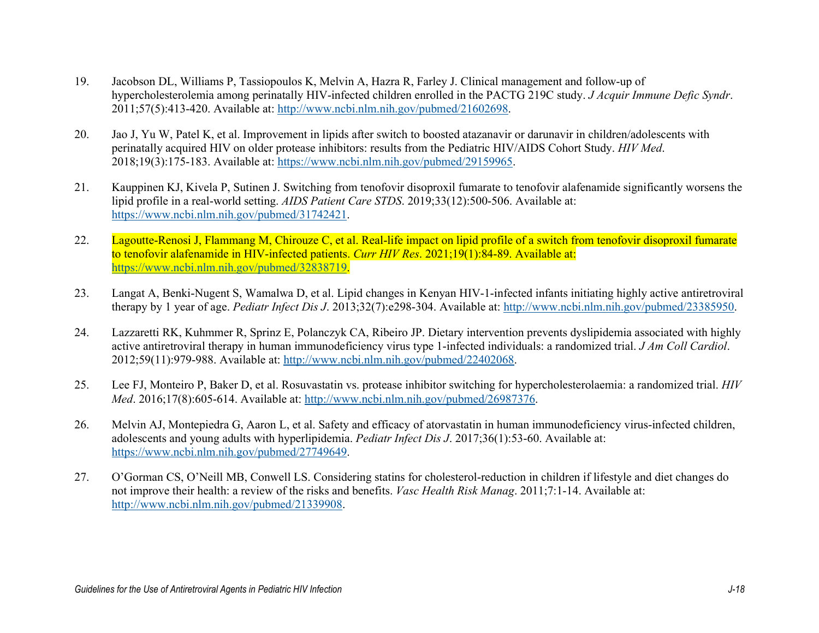- 19. Jacobson DL, Williams P, Tassiopoulos K, Melvin A, Hazra R, Farley J. Clinical management and follow-up of hypercholesterolemia among perinatally HIV-infected children enrolled in the PACTG 219C study. *J Acquir Immune Defic Syndr*. 2011;57(5):413-420. Available at: [http://www.ncbi.nlm.nih.gov/pubmed/21602698.](http://www.ncbi.nlm.nih.gov/pubmed/21602698)
- 20. Jao J, Yu W, Patel K, et al. Improvement in lipids after switch to boosted atazanavir or darunavir in children/adolescents with perinatally acquired HIV on older protease inhibitors: results from the Pediatric HIV/AIDS Cohort Study. *HIV Med*. 2018;19(3):175-183. Available at: [https://www.ncbi.nlm.nih.gov/pubmed/29159965.](https://www.ncbi.nlm.nih.gov/pubmed/29159965)
- 21. Kauppinen KJ, Kivela P, Sutinen J. Switching from tenofovir disoproxil fumarate to tenofovir alafenamide significantly worsens the lipid profile in a real-world setting. *AIDS Patient Care STDS*. 2019;33(12):500-506. Available at: [https://www.ncbi.nlm.nih.gov/pubmed/31742421.](https://www.ncbi.nlm.nih.gov/pubmed/31742421)
- 22. Lagoutte-Renosi J, Flammang M, Chirouze C, et al. Real-life impact on lipid profile of a switch from tenofovir disoproxil fumarate to tenofovir alafenamide in HIV-infected patients. *Curr HIV Res*. 2021;19(1):84-89. Available at: [https://www.ncbi.nlm.nih.gov/pubmed/32838719.](https://www.ncbi.nlm.nih.gov/pubmed/32838719)
- 23. Langat A, Benki-Nugent S, Wamalwa D, et al. Lipid changes in Kenyan HIV-1-infected infants initiating highly active antiretroviral therapy by 1 year of age. *Pediatr Infect Dis J*. 2013;32(7):e298-304. Available at[: http://www.ncbi.nlm.nih.gov/pubmed/23385950.](http://www.ncbi.nlm.nih.gov/pubmed/23385950)
- 24. Lazzaretti RK, Kuhmmer R, Sprinz E, Polanczyk CA, Ribeiro JP. Dietary intervention prevents dyslipidemia associated with highly active antiretroviral therapy in human immunodeficiency virus type 1-infected individuals: a randomized trial. *J Am Coll Cardiol*. 2012;59(11):979-988. Available at: [http://www.ncbi.nlm.nih.gov/pubmed/22402068.](http://www.ncbi.nlm.nih.gov/pubmed/22402068)
- 25. Lee FJ, Monteiro P, Baker D, et al. Rosuvastatin vs. protease inhibitor switching for hypercholesterolaemia: a randomized trial. *HIV Med*. 2016;17(8):605-614. Available at: [http://www.ncbi.nlm.nih.gov/pubmed/26987376.](http://www.ncbi.nlm.nih.gov/pubmed/26987376)
- 26. Melvin AJ, Montepiedra G, Aaron L, et al. Safety and efficacy of atorvastatin in human immunodeficiency virus-infected children, adolescents and young adults with hyperlipidemia. *Pediatr Infect Dis J*. 2017;36(1):53-60. Available at: [https://www.ncbi.nlm.nih.gov/pubmed/27749649.](https://www.ncbi.nlm.nih.gov/pubmed/27749649)
- 27. O'Gorman CS, O'Neill MB, Conwell LS. Considering statins for cholesterol-reduction in children if lifestyle and diet changes do not improve their health: a review of the risks and benefits. *Vasc Health Risk Manag*. 2011;7:1-14. Available at: [http://www.ncbi.nlm.nih.gov/pubmed/21339908.](http://www.ncbi.nlm.nih.gov/pubmed/21339908)